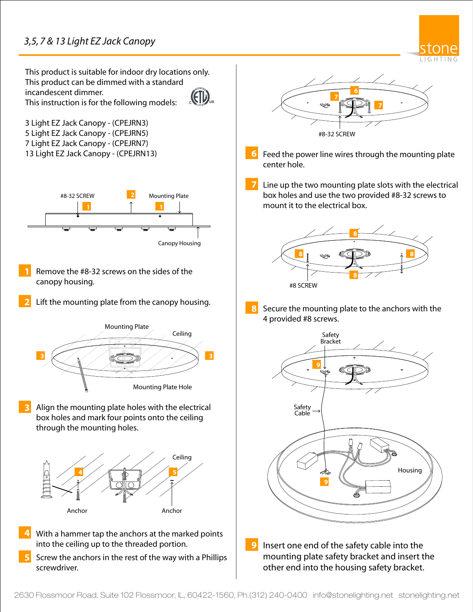## *3,5, 7 & 13 Light EZ Jack Canopy*



This product is suitable for indoor dry locations only. This product can be dimmed with a standard incandescent dimmer. (EIL This instruction is for the following models: **10** 3 Light EZ Jack Canopy - (CPEJRN3) 5 Light EZ Jack Canopy - (CPEJRN5) 7 Light EZ Jack Canopy - (CPEJRN7) 13 Light EZ Jack Canopy - (CPEJRN13) **6 7 11**#8-32 SCREW **2** Mounting Plate **1 1** Canopy Housing Remove the #8-32 screws on the sides of the canopy housing.  $\alpha$ cordance with local electrical codes. **2** Lift the mounting plate from the canopy housing. **8 Mounting Plate** Ceiling Connect the housing black wire to the hot power  $\mathbf{B} \times \mathbf{A}$ **3 3 3 1 1 1 1 3 1 1 1 1 3 1 1 1 1 3** Place all wires and wire nut connections properly Mounting Plate Hole inside the housing. Align the mounting plate holes with the electrical **3** box holes and mark four points onto the ceiling through the mounting holes. Ceiling **4 5 14**  $\sqrt{2}$ Anchor Anchor Solide the mounting of the mounting plane is more than  $\mathsf{Ancnor}$ **4** With a hammer tap the anchors at the marked points **9** into the ceiling up to the threaded portion. Screw the anchors in the rest of the way with a Phillips **5** screwdriver.



- Feed the power line wires through the mounting plate center hole.
- Line up the two mounting plate slots with the electrical box holes and use the two provided #8-32 screws to mount it to the electrical box.



Secure the mounting plate to the anchors with the 4 provided #8 screws.



Insert one end of the safety cable into the mounting plate safety bracket and insert the other end into the housing safety bracket.